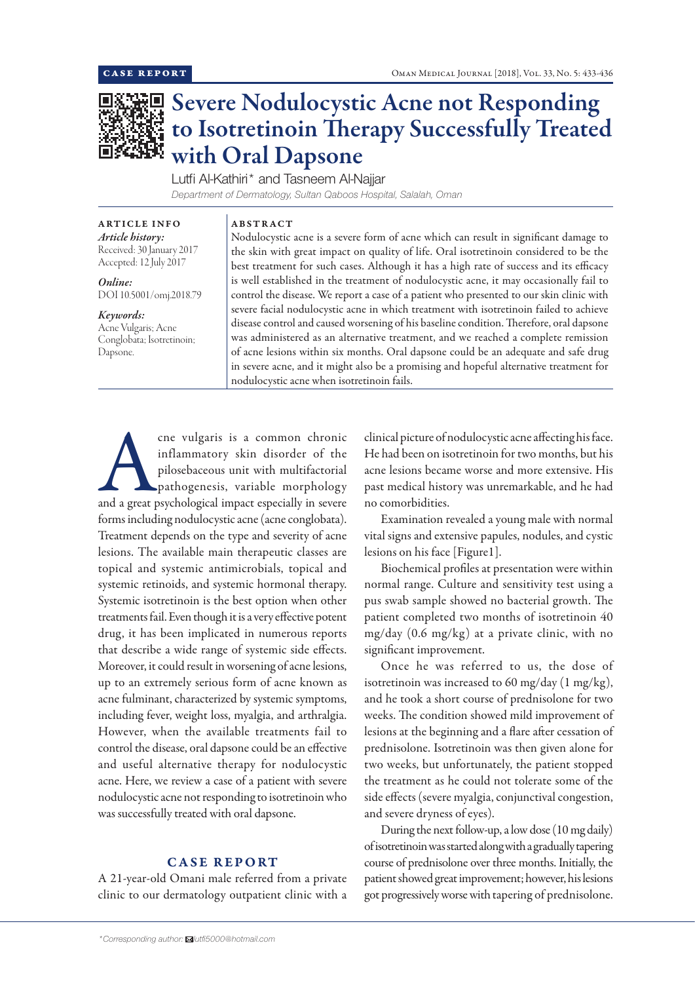

# Severe Nodulocystic Acne not Responding to Isotretinoin Therapy Successfully Treated with Oral Dapsone

Lutfi Al-Kathiri\* and Tasneem Al-Najjar

*Department of Dermatology, Sultan Qaboos Hospital, Salalah, Oman*

ARTICLE INFO *Article history:* Received: 30 January 2017 Accepted: 12 July 2017

*Online:* DOI 10.5001/omj.2018.79

*Keywords:* 

Acne Vulgaris; Acne Conglobata; Isotretinoin; Dapsone.

## ABSTRACT

Nodulocystic acne is a severe form of acne which can result in significant damage to the skin with great impact on quality of life. Oral isotretinoin considered to be the best treatment for such cases. Although it has a high rate of success and its efficacy is well established in the treatment of nodulocystic acne, it may occasionally fail to control the disease. We report a case of a patient who presented to our skin clinic with severe facial nodulocystic acne in which treatment with isotretinoin failed to achieve disease control and caused worsening of his baseline condition. Therefore, oral dapsone was administered as an alternative treatment, and we reached a complete remission of acne lesions within six months. Oral dapsone could be an adequate and safe drug in severe acne, and it might also be a promising and hopeful alternative treatment for nodulocystic acne when isotretinoin fails.

che vulgaris is a common chronic<br>
inflammatory skin disorder of the<br>
pilosebaceous unit with multifactorial<br>
pathogenesis, variable morphology<br>
and a great psychological impact especially in severe inflammatory skin disorder of the pilosebaceous unit with multifactorial pathogenesis, variable morphology forms including nodulocystic acne (acne conglobata). Treatment depends on the type and severity of acne lesions. The available main therapeutic classes are topical and systemic antimicrobials, topical and systemic retinoids, and systemic hormonal therapy. Systemic isotretinoin is the best option when other treatments fail. Even though it is a very effective potent drug, it has been implicated in numerous reports that describe a wide range of systemic side effects. Moreover, it could result in worsening of acne lesions, up to an extremely serious form of acne known as acne fulminant, characterized by systemic symptoms, including fever, weight loss, myalgia, and arthralgia. However, when the available treatments fail to control the disease, oral dapsone could be an effective and useful alternative therapy for nodulocystic acne. Here, we review a case of a patient with severe nodulocystic acne not responding to isotretinoin who was successfully treated with oral dapsone.

## CASE REPORT

A 21-year-old Omani male referred from a private clinic to our dermatology outpatient clinic with a

clinical picture of nodulocystic acne affecting his face. He had been on isotretinoin for two months, but his acne lesions became worse and more extensive. His past medical history was unremarkable, and he had no comorbidities.

Examination revealed a young male with normal vital signs and extensive papules, nodules, and cystic lesions on his face [Figure1].

Biochemical profiles at presentation were within normal range. Culture and sensitivity test using a pus swab sample showed no bacterial growth. The patient completed two months of isotretinoin 40 mg/day (0.6 mg/kg) at a private clinic, with no significant improvement.

Once he was referred to us, the dose of isotretinoin was increased to 60 mg/day (1 mg/kg), and he took a short course of prednisolone for two weeks. The condition showed mild improvement of lesions at the beginning and a flare after cessation of prednisolone. Isotretinoin was then given alone for two weeks, but unfortunately, the patient stopped the treatment as he could not tolerate some of the side effects (severe myalgia, conjunctival congestion, and severe dryness of eyes).

During the next follow-up, a low dose (10 mg daily) of isotretinoin was started along with a gradually tapering course of prednisolone over three months. Initially, the patient showed great improvement; however, his lesions got progressively worse with tapering of prednisolone.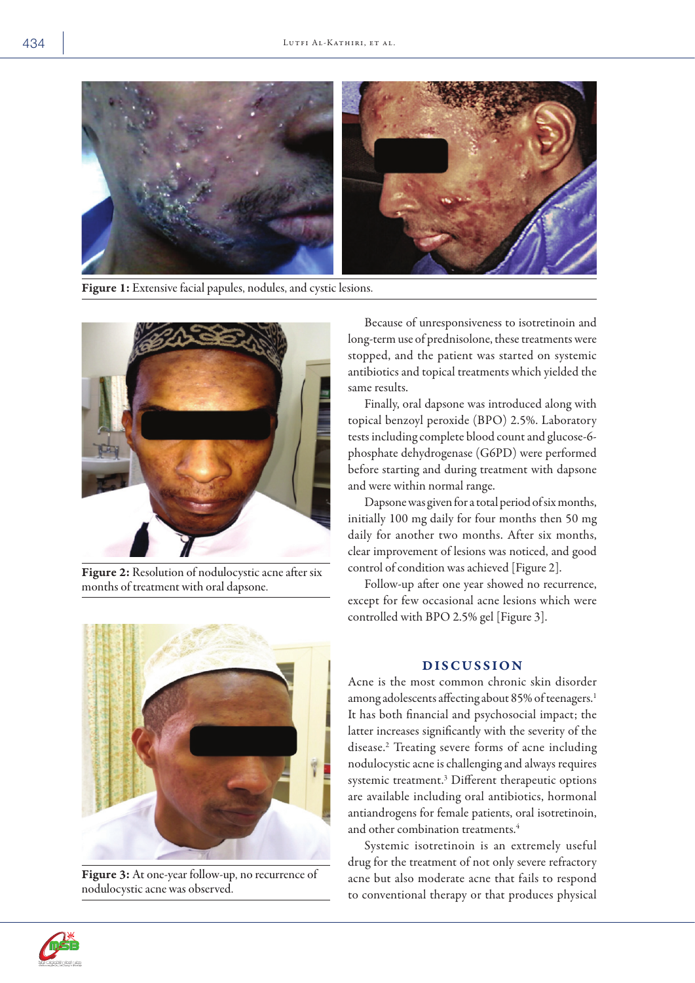

Figure 1: Extensive facial papules, nodules, and cystic lesions.



Figure 2: Resolution of nodulocystic acne after six months of treatment with oral dapsone.



Figure 3: At one-year follow-up, no recurrence of nodulocystic acne was observed.

Because of unresponsiveness to isotretinoin and long-term use of prednisolone, these treatments were stopped, and the patient was started on systemic antibiotics and topical treatments which yielded the same results.

Finally, oral dapsone was introduced along with topical benzoyl peroxide (BPO) 2.5%. Laboratory tests including complete blood count and glucose-6 phosphate dehydrogenase (G6PD) were performed before starting and during treatment with dapsone and were within normal range.

Dapsone was given for a total period of six months, initially 100 mg daily for four months then 50 mg daily for another two months. After six months, clear improvement of lesions was noticed, and good control of condition was achieved [Figure 2].

Follow-up after one year showed no recurrence, except for few occasional acne lesions which were controlled with BPO 2.5% gel [Figure 3].

### DISCUSSION

Acne is the most common chronic skin disorder among adolescents affecting about 85% of teenagers.<sup>1</sup> It has both financial and psychosocial impact; the latter increases significantly with the severity of the disease.2 Treating severe forms of acne including nodulocystic acne is challenging and always requires systemic treatment.3 Different therapeutic options are available including oral antibiotics, hormonal antiandrogens for female patients, oral isotretinoin, and other combination treatments.<sup>4</sup>

Systemic isotretinoin is an extremely useful drug for the treatment of not only severe refractory acne but also moderate acne that fails to respond to conventional therapy or that produces physical

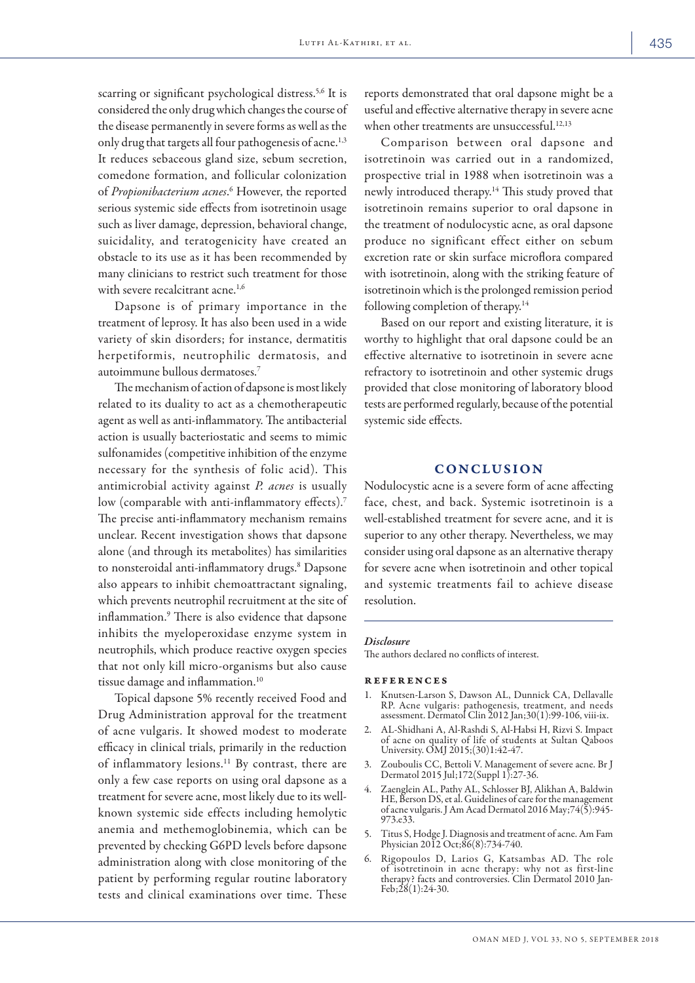scarring or significant psychological distress.<sup>5,6</sup> It is considered the only drug which changes the course of the disease permanently in severe forms as well as the only drug that targets all four pathogenesis of acne.<sup>1,3</sup> It reduces sebaceous gland size, sebum secretion, comedone formation, and follicular colonization of *Propionibacterium acnes*. 6 However, the reported serious systemic side effects from isotretinoin usage such as liver damage, depression, behavioral change, suicidality, and teratogenicity have created an obstacle to its use as it has been recommended by many clinicians to restrict such treatment for those with severe recalcitrant acne.<sup>1,6</sup>

Dapsone is of primary importance in the treatment of leprosy. It has also been used in a wide variety of skin disorders; for instance, dermatitis herpetiformis, neutrophilic dermatosis, and autoimmune bullous dermatoses.7

The mechanism of action of dapsone is most likely related to its duality to act as a chemotherapeutic agent as well as anti-inflammatory. The antibacterial action is usually bacteriostatic and seems to mimic sulfonamides (competitive inhibition of the enzyme necessary for the synthesis of folic acid). This antimicrobial activity against *P. acnes* is usually low (comparable with anti-inflammatory effects).<sup>7</sup> The precise anti-inflammatory mechanism remains unclear. Recent investigation shows that dapsone alone (and through its metabolites) has similarities to nonsteroidal anti-inflammatory drugs.<sup>8</sup> Dapsone also appears to inhibit chemoattractant signaling, which prevents neutrophil recruitment at the site of inflammation.9 There is also evidence that dapsone inhibits the myeloperoxidase enzyme system in neutrophils, which produce reactive oxygen species that not only kill micro-organisms but also cause tissue damage and inflammation.<sup>10</sup>

Topical dapsone 5% recently received Food and Drug Administration approval for the treatment of acne vulgaris. It showed modest to moderate efficacy in clinical trials, primarily in the reduction of inflammatory lesions.<sup>11</sup> By contrast, there are only a few case reports on using oral dapsone as a treatment for severe acne, most likely due to its wellknown systemic side effects including hemolytic anemia and methemoglobinemia, which can be prevented by checking G6PD levels before dapsone administration along with close monitoring of the patient by performing regular routine laboratory tests and clinical examinations over time. These

reports demonstrated that oral dapsone might be a useful and effective alternative therapy in severe acne when other treatments are unsuccessful.<sup>12,13</sup>

Comparison between oral dapsone and isotretinoin was carried out in a randomized, prospective trial in 1988 when isotretinoin was a newly introduced therapy.14 This study proved that isotretinoin remains superior to oral dapsone in the treatment of nodulocystic acne, as oral dapsone produce no significant effect either on sebum excretion rate or skin surface microflora compared with isotretinoin, along with the striking feature of isotretinoin which is the prolonged remission period following completion of therapy.<sup>14</sup>

Based on our report and existing literature, it is worthy to highlight that oral dapsone could be an effective alternative to isotretinoin in severe acne refractory to isotretinoin and other systemic drugs provided that close monitoring of laboratory blood tests are performed regularly, because of the potential systemic side effects.

## **CONCLUSION**

Nodulocystic acne is a severe form of acne affecting face, chest, and back. Systemic isotretinoin is a well-established treatment for severe acne, and it is superior to any other therapy. Nevertheless, we may consider using oral dapsone as an alternative therapy for severe acne when isotretinoin and other topical and systemic treatments fail to achieve disease resolution.

#### *Disclosure*

The authors declared no conflicts of interest.

#### references

- 1. Knutsen-Larson S, Dawson AL, Dunnick CA, Dellavalle RP. Acne vulgaris: pathogenesis, treatment, and needs assessment. Dermatol Clin 2012 Jan;30(1):99-106, viii-ix.
- 2. AL-Shidhani A, Al-Rashdi S, Al-Habsi H, Rizvi S. Impact of acne on quality of life of students at Sultan Qaboos University. OMJ 2015;(30)1:42-47.
- 3. Zouboulis CC, Bettoli V. Management of severe acne. Br J Dermatol 2015 Jul;172(Suppl 1):27-36.
- 4. Zaenglein AL, Pathy AL, Schlosser BJ, Alikhan A, Baldwin HE, Berson DS, et al. Guidelines of care for the management of acne vulgaris. J Am Acad Dermatol 2016 May;74(5):945- 973.e33.
- 5. Titus S, Hodge J. Diagnosis and treatment of acne. Am Fam Physician 2012 Oct;86(8):734-740.
- 6. Rigopoulos D, Larios G, Katsambas AD. The role of isotretinoin in acne therapy: why not as first-line therapy? facts and controversies. Clin Dermatol 2010 Jan-Feb;28(1):24-30.